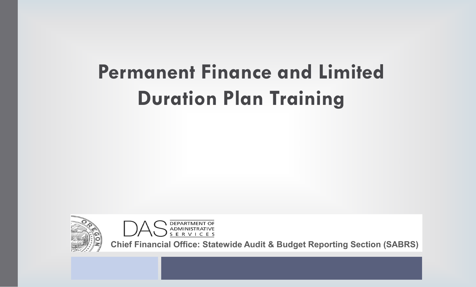# **Permanent Finance and Limited Duration Plan Training**





**Chief Financial Office: Statewide Audit & Budget Reporting Section (SABRS)**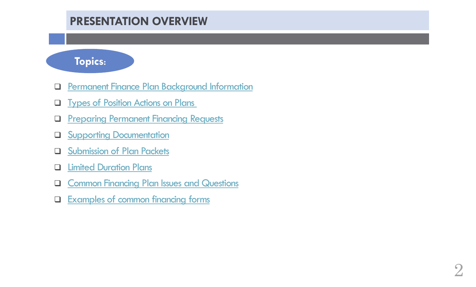## **PRESENTATION OVERVIEW**

#### **Topics:**

- [Permanent Finance Plan Background Information](#page-2-0)
- **Q** [Types of Position Actions on Plans](#page-5-0)
- **Q** Preparing Permanent Financing Requests
- **Q** Supporting Documentation
- **Q** Submission of Plan Packets
- **Q** [Limited Duration Plans](#page-11-0)
- **Q [Common Financing Plan Issues and Questions](#page-13-0)**
- **[Examples of common financing forms](#page-7-0)**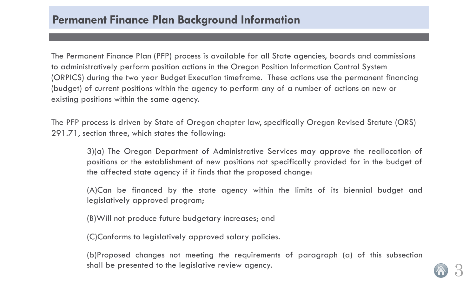<span id="page-2-0"></span>The Permanent Finance Plan (PFP) process is available for all State agencies, boards and commissions to administratively perform position actions in the Oregon Position Information Control System (ORPICS) during the two year Budget Execution timeframe. These actions use the permanent financing (budget) of current positions within the agency to perform any of a number of actions on new or existing positions within the same agency.

The PFP process is driven by State of Oregon chapter law, specifically Oregon Revised Statute (ORS) 291.71, section three, which states the following:

3)(a) The Oregon Department of Administrative Services may approve the reallocation of positions or the establishment of new positions not specifically provided for in the budget of the affected state agency if it finds that the proposed change:

(A)Can be financed by the state agency within the limits of its biennial budget and legislatively approved program;

(B)Will not produce future budgetary increases; and

(C)Conforms to legislatively approved salary policies.

(b)Proposed changes not meeting the requirements of paragraph (a) of this subsection shall be presented to the legislative review agency.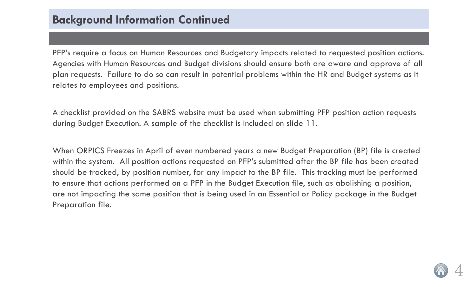PFP's require a focus on Human Resources and Budgetary impacts related to requested position actions. Agencies with Human Resources and Budget divisions should ensure both are aware and approve of all plan requests. Failure to do so can result in potential problems within the HR and Budget systems as it relates to employees and positions.

A checklist provided on the SABRS website must be used when submitting PFP position action requests during Budget Execution. A sample of the checklist is included on slide 11.

When ORPICS Freezes in April of even numbered years a new Budget Preparation (BP) file is created within the system. All position actions requested on PFP's submitted after the BP file has been created should be tracked, by position number, for any impact to the BP file. This tracking must be performed to ensure that actions performed on a PFP in the Budget Execution file, such as abolishing a position, are not impacting the same position that is being used in an Essential or Policy package in the Budget Preparation file.

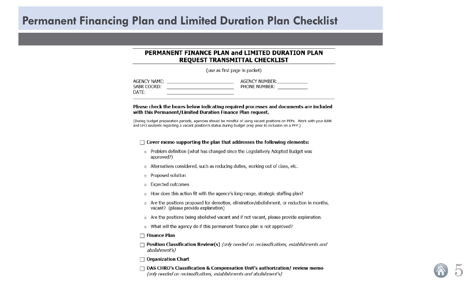#### **Permanent Financing Plan and Limited Duration Plan Checklist**

#### PERMANENT FINANCE PLAN and LIMITED DURATION PLAN REQUEST TRANSMITTAL CHECKLIST

(use as first page in packet)

| AGENCY NAME: | <b>AGENCY NUMBER:</b> |  |
|--------------|-----------------------|--|
| SABR COORD:  | PHONE NUMBER:         |  |
| DATE:        |                       |  |

#### Please check the boxes below indicating required processes and documents are included with this Permanent/Limited Duration Finance Plan request.

(During budget preparation periods, agencies should be mindful of using vacant positions on PFPs. Work with your BAM and LFO Analysts regarding a vacant position's status during budget prep prior to inclusion on a PFP.)

#### $\Box$  Cover memo supporting the plan that addresses the following elements:

- o Problem definition (what has changed since the Legislatively Adopted Budget was approved?)
- o Alternatives considered, such as reducing duties, working out of class, etc.
- o Proposed solution
- o Expected outcomes
- o How does this action fit with the agency's long-range, strategic staffing plan?
- $\circ$  Are the positions proposed for demotion, elimination/abolishment, or reduction in months, vacant? (please provide explanation)
- o Are the positions being abolished vacant and if not vacant, please provide explanation.
- o What will the agency do if this permanent finance plan is not approved?

#### $\Box$  Finance Plan

- $\Box$  Position Classification Review(s) (only needed on reclassifications, establishments and abolishment's)
- $\Box$  Organization Chart
- $\Box$  DAS CHRO's Classification & Compensation Unit's authorization/ review memo (only needed on reclassifications, establishments and abolishment's)

5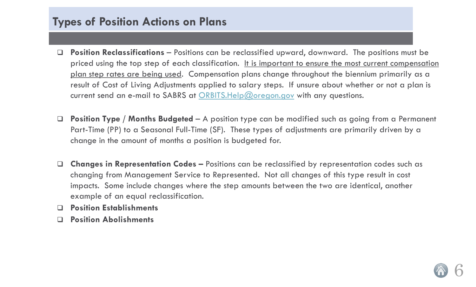### <span id="page-5-0"></span>**Types of Position Actions on Plans**

- **Position Reclassifications**  Positions can be reclassified upward, downward. The positions must be priced using the top step of each classification. It is important to ensure the most current compensation plan step rates are being used. Compensation plans change throughout the biennium primarily as a result of Cost of Living Adjustments applied to salary steps. If unsure about whether or not a plan is current send an e-mail to SABRS at [ORBITS.Help@oregon.gov](mailto:ORBITS.Help@oregon.gov) with any questions.
- **Position Type / Months Budgeted**  A position type can be modified such as going from a Permanent Part-Time (PP) to a Seasonal Full-Time (SF). These types of adjustments are primarily driven by a change in the amount of months a position is budgeted for.
- **Changes in Representation Codes –** Positions can be reclassified by representation codes such as changing from Management Service to Represented. Not all changes of this type result in cost impacts. Some include changes where the step amounts between the two are identical, another example of an equal reclassification.
- **Position Establishments**
- **Position Abolishments**

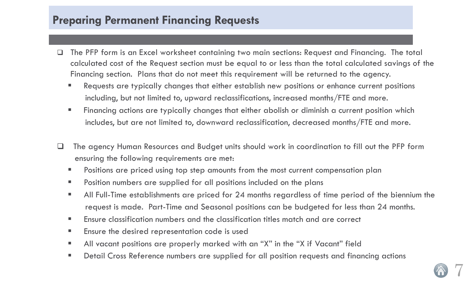#### <span id="page-6-0"></span>**Preparing Permanent Financing Requests**

- The PFP form is an Excel worksheet containing two main sections: Request and Financing. The total calculated cost of the Request section must be equal to or less than the total calculated savings of the Financing section. Plans that do not meet this requirement will be returned to the agency.
	- Requests are typically changes that either establish new positions or enhance current positions including, but not limited to, upward reclassifications, increased months/FTE and more.
	- **Financing actions are typically changes that either abolish or diminish a current position which** includes, but are not limited to, downward reclassification, decreased months/FTE and more.
- The agency Human Resources and Budget units should work in coordination to fill out the PFP form ensuring the following requirements are met:
	- **Positions are priced using top step amounts from the most current compensation plan**
	- **Position numbers are supplied for all positions included on the plans**
	- All Full-Time establishments are priced for 24 months regardless of time period of the biennium the request is made. Part-Time and Seasonal positions can be budgeted for less than 24 months.
	- Ensure classification numbers and the classification titles match and are correct
	- **Ensure the desired representation code is used**
	- All vacant positions are properly marked with an "X" in the "X if Vacant" field
	- **•** Detail Cross Reference numbers are supplied for all position requests and financing actions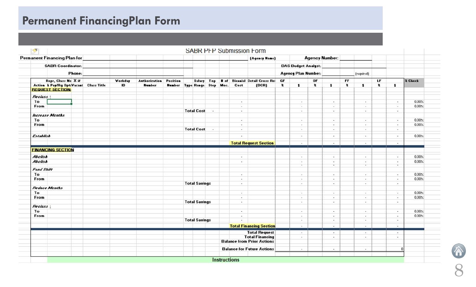# <span id="page-7-0"></span>**Permanent FinancingPlan Form**

| Permanent Financing Plan for           |         |                      |                                    |                      |                          |             | (Agency Name)                             |              |                            | <b>Agency Number:</b>        |                          |           |                          |           |                          |         |
|----------------------------------------|---------|----------------------|------------------------------------|----------------------|--------------------------|-------------|-------------------------------------------|--------------|----------------------------|------------------------------|--------------------------|-----------|--------------------------|-----------|--------------------------|---------|
| <b>SABR Coordinator:</b>               |         |                      |                                    |                      |                          |             |                                           |              | <b>DAS Budget Analyst:</b> |                              |                          |           |                          |           |                          |         |
| Phone:                                 |         |                      |                                    |                      |                          |             |                                           |              | <b>Agency Plan Number:</b> |                              |                          |           | (required)               |           |                          |         |
| Repr. Class No X if                    | Workday | <b>Authorization</b> | Position                           |                      |                          |             | Salary Top # of Biennial Detail Cross Rel | GF           |                            | OF                           |                          | <b>FF</b> |                          | LF        |                          | 2 Check |
| Action & Pay/Rg Opt:Vacant Class Title | ID      | <b>Number</b>        | <b>Number Type Range Step Mos.</b> |                      |                          | Cost        | [DCR]                                     | $\mathbf{z}$ | $\ddot{\phantom{1}}$       | $\mathbf{z}$<br>$\mathbf{r}$ |                          | z         | \$                       | $\pmb{z}$ | $\ddot{\phantom{1}}$     |         |
| <b>REQUEST SECTION:</b>                |         |                      |                                    |                      |                          |             |                                           |              |                            |                              |                          |           |                          |           |                          |         |
| Reclass 1                              |         |                      |                                    |                      |                          |             |                                           |              |                            |                              |                          |           |                          |           |                          |         |
| To                                     |         |                      |                                    |                      |                          | $\sim$      |                                           |              | $\sim$                     |                              | $\overline{a}$           |           | $\sim$                   |           | $\sim$                   | 0.00%   |
| From                                   |         |                      |                                    |                      |                          | $\sim$      |                                           |              | $\overline{\phantom{a}}$   |                              | $\overline{\phantom{a}}$ |           | $\sim$                   |           | $\sim$                   | 0.00%   |
|                                        |         |                      |                                    | <b>Total Cost</b>    | $\overline{\phantom{a}}$ | $\sim$      |                                           |              | $\sim$                     |                              | - -                      |           | $\sim$                   |           | $\overline{\phantom{a}}$ |         |
| <b>Increase Months</b>                 |         |                      |                                    |                      |                          |             |                                           |              |                            |                              |                          |           |                          |           |                          |         |
| To                                     |         |                      |                                    |                      |                          | $\sim$      |                                           |              | Car.                       |                              | $\sim$                   |           | $\sim$                   |           | $\sim$                   | 0.00%   |
| From                                   |         |                      |                                    |                      |                          | $\sim$      |                                           |              | $\sim$                     |                              | $\sim$                   |           | $\sim$                   |           | $\sim$                   | 0.00%   |
|                                        |         |                      |                                    | <b>Total Cost</b>    | $\sim$                   | $\sim$      |                                           |              | $\sim$                     |                              | $\overline{\phantom{a}}$ |           | $\sim$                   |           | $\sim$                   |         |
| <b>Establish</b>                       |         |                      |                                    |                      |                          | <b>COMP</b> |                                           |              | ×.                         |                              | - 41                     |           | $\sim$                   |           | CH.                      | 0.00%   |
|                                        |         |                      |                                    |                      |                          |             |                                           |              | 100.00                     |                              | $\sim$ 4 $\sim$          |           | $\sim$                   |           | CALL:                    |         |
|                                        |         |                      |                                    |                      |                          |             | <b>Total Request Section</b>              |              |                            |                              |                          |           |                          |           |                          |         |
| <b>FINANCING SECTION</b>               |         |                      |                                    |                      |                          |             |                                           |              |                            |                              |                          |           |                          |           |                          |         |
| Abolish                                |         |                      |                                    |                      |                          | <b>Call</b> |                                           |              | ×,                         |                              | $\sim$                   |           | $\blacksquare$           |           | $\sim$                   | 0.00%   |
| Abolish                                |         |                      |                                    |                      |                          | $\sim$      |                                           |              | $\sim$                     |                              | $\sim$                   |           | $\overline{\phantom{a}}$ |           | $\sim$                   | 0.00%   |
| Fund Shift                             |         |                      |                                    |                      |                          |             |                                           |              | $\overline{\phantom{a}}$   |                              |                          |           | $\cdot$                  |           | ٠                        |         |
| To                                     |         |                      |                                    |                      |                          | $\sim$      |                                           |              | in.                        |                              | $\sim$                   |           | $\sim$                   |           | ×.                       | 0.00%   |
| From                                   |         |                      |                                    |                      |                          | ж.          |                                           |              | ×                          |                              | ٠.                       |           | ٠.                       |           | ×.                       | 0.00%   |
|                                        |         |                      |                                    | <b>Total Savings</b> |                          | $\sim$      |                                           |              | $\sim$                     |                              | $\overline{a}$           |           | $\sim$                   |           | $\sim$                   |         |
| <b>Reduce Months</b>                   |         |                      |                                    |                      |                          |             |                                           |              |                            |                              |                          |           |                          |           |                          |         |
| To                                     |         |                      |                                    |                      |                          | $\sim$      |                                           |              | ×.                         |                              | $\sim$                   |           | $\overline{\phantom{a}}$ |           | $\sim$                   | 0.00%   |
| From                                   |         |                      |                                    |                      |                          | $\sim$      |                                           |              | $\sim$                     |                              |                          |           | $\sim$                   |           | $\sim$                   | 0.00%   |
|                                        |         |                      |                                    | <b>Total Savings</b> |                          | $\sim$      |                                           |              | $\sim$                     |                              | 1999                     |           | $\sim$                   |           | $\sim$                   |         |
| <b>Reclass</b>                         |         |                      |                                    |                      |                          |             |                                           |              |                            |                              |                          |           |                          |           |                          |         |
| To                                     |         |                      |                                    |                      |                          | $\sim$      |                                           |              | $\sim$                     |                              | $\sim$                   |           | $\sim$                   |           | $\sim$                   | 0.00%   |
| From                                   |         |                      |                                    |                      |                          | $\sim$      |                                           |              | i.                         |                              | ۰.                       |           | $\sim$                   |           | $\sim$                   | 0.00%   |
|                                        |         |                      |                                    | <b>Total Savings</b> |                          | ٠.          |                                           |              |                            |                              | $\sim$                   |           | $\sim$                   |           | 15.                      |         |
|                                        |         |                      |                                    |                      |                          |             | <b>Total Financing Section</b>            |              | $\blacksquare$             |                              | $\sim$                   |           | $\sim$                   |           | $\sim$                   |         |
|                                        |         |                      |                                    |                      |                          |             | <b>Total Request</b>                      |              | CH.                        |                              | - 40                     |           | $\sim$                   |           | $\delta=1$               |         |
|                                        |         |                      |                                    |                      |                          |             | <b>Total Financing</b>                    |              | ×.                         |                              | $\blacksquare$           |           | $\sim$                   |           | $\sim$                   |         |
|                                        |         |                      |                                    |                      |                          |             | <b>Balance from Prior Actions</b>         |              |                            |                              |                          |           |                          |           |                          |         |
|                                        |         |                      |                                    |                      |                          |             | <b>Balance for Future Actions</b>         |              | o.                         |                              | $\bullet$                |           | $\bullet$ .              |           | n                        |         |
|                                        |         |                      |                                    |                      |                          |             |                                           |              |                            |                              |                          |           |                          |           |                          |         |

8 x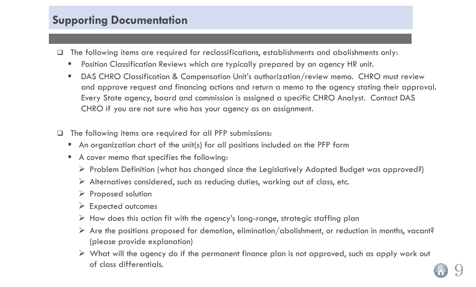### <span id="page-8-0"></span>**Supporting Documentation**

- The following items are required for reclassifications, establishments and abolishments only:
	- **Position Classification Reviews which are typically prepared by an agency HR unit.**
	- DAS CHRO Classification & Compensation Unit's authorization/review memo. CHRO must review and approve request and financing actions and return a memo to the agency stating their approval. Every State agency, board and commission is assigned a specific CHRO Analyst. Contact DAS CHRO if you are not sure who has your agency as an assignment.
- $\Box$  The following items are required for all PFP submissions:
	- An organization chart of the unit(s) for all positions included on the PFP form
	- A cover memo that specifies the following:
		- $\triangleright$  Problem Definition (what has changed since the Legislatively Adopted Budget was approved?)
		- $\triangleright$  Alternatives considered, such as reducing duties, working out of class, etc.
		- $\triangleright$  Proposed solution
		- $\triangleright$  Expected outcomes
		- $\triangleright$  How does this action fit with the agency's long-range, strategic staffing plan
		- $\triangleright$  Are the positions proposed for demotion, elimination/abolishment, or reduction in months, vacant? (please provide explanation)
		- $\triangleright$  What will the agency do if the permanent finance plan is not approved, such as apply work out of class differentials.

9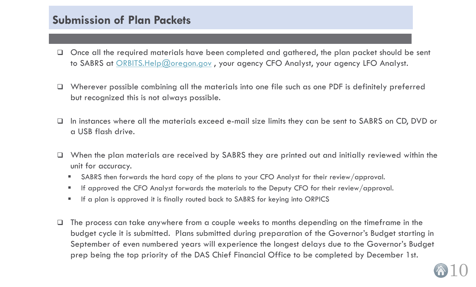#### <span id="page-9-0"></span>**Submission of Plan Packets**

- $\Box$  Once all the required materials have been completed and gathered, the plan packet should be sent to SABRS at [ORBITS.Help@oregon.gov](mailto:ORBITS.Help@oregon.gov), your agency CFO Analyst, your agency LFO Analyst.
- $\Box$  Wherever possible combining all the materials into one file such as one PDF is definitely preferred but recognized this is not always possible.
- $\Box$  In instances where all the materials exceed e-mail size limits they can be sent to SABRS on CD, DVD or a USB flash drive.
- $\Box$  When the plan materials are received by SABRS they are printed out and initially reviewed within the unit for accuracy.
	- SABRS then forwards the hard copy of the plans to your CFO Analyst for their review/approval.
	- If approved the CFO Analyst forwards the materials to the Deputy CFO for their review/approval.
	- If a plan is approved it is finally routed back to SABRS for keying into ORPICS
- $\Box$  The process can take anywhere from a couple weeks to months depending on the timeframe in the budget cycle it is submitted. Plans submitted during preparation of the Governor's Budget starting in September of even numbered years will experience the longest delays due to the Governor's Budget prep being the top priority of the DAS Chief Financial Office to be completed by December 1st.

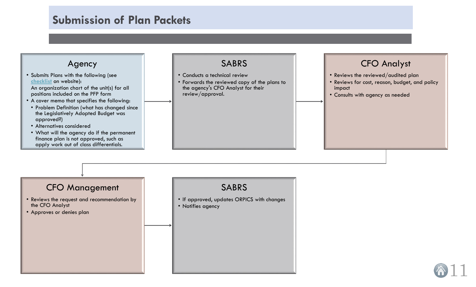### **Submission of Plan Packets**

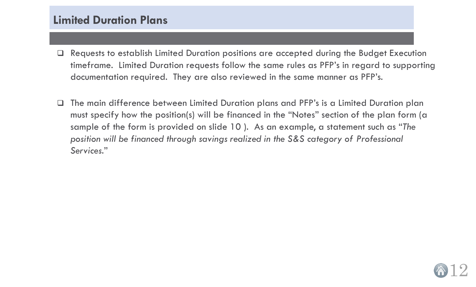#### <span id="page-11-0"></span>**Limited Duration Plans**

- Requests to establish Limited Duration positions are accepted during the Budget Execution timeframe. Limited Duration requests follow the same rules as PFP's in regard to supporting documentation required. They are also reviewed in the same manner as PFP's.
- The main difference between Limited Duration plans and PFP's is a Limited Duration plan must specify how the position(s) will be financed in the "Notes" section of the plan form (a sample of the form is provided on slide 10 ). As an example, a statement such as "*The position will be financed through savings realized in the S&S category of Professional Services.*"

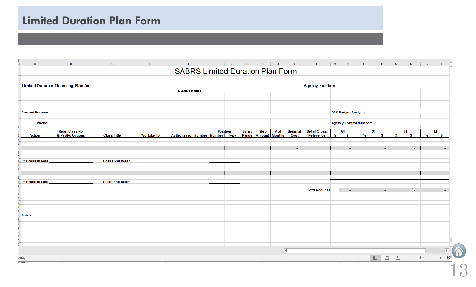# **Limited Duration Plan Form**

|                        | <b>Limited Duration Financing Plan for:</b> |                         |                   |                                  |                 |        |                      |      |                     | <b>Agency Number:</b> |   |                               |      |                 |   |                                                                                                                                                                                                                                                                                                                                                                             |   |               |
|------------------------|---------------------------------------------|-------------------------|-------------------|----------------------------------|-----------------|--------|----------------------|------|---------------------|-----------------------|---|-------------------------------|------|-----------------|---|-----------------------------------------------------------------------------------------------------------------------------------------------------------------------------------------------------------------------------------------------------------------------------------------------------------------------------------------------------------------------------|---|---------------|
|                        |                                             |                         |                   | (Agency Name)                    |                 |        |                      |      |                     |                       |   |                               |      |                 |   |                                                                                                                                                                                                                                                                                                                                                                             |   |               |
|                        |                                             |                         |                   |                                  |                 |        |                      |      |                     |                       |   |                               |      |                 |   |                                                                                                                                                                                                                                                                                                                                                                             |   |               |
|                        |                                             |                         |                   |                                  |                 |        |                      |      |                     |                       |   |                               |      |                 |   |                                                                                                                                                                                                                                                                                                                                                                             |   |               |
| <b>Contact Person:</b> |                                             |                         |                   |                                  |                 |        |                      |      |                     |                       |   | <b>DAS Budget Analyst:</b>    |      |                 |   |                                                                                                                                                                                                                                                                                                                                                                             |   |               |
| <b>Phone:</b>          |                                             |                         |                   |                                  |                 |        |                      |      |                     |                       |   | <b>Agency Control Number:</b> |      |                 |   |                                                                                                                                                                                                                                                                                                                                                                             |   |               |
|                        | Repr, Class No.                             |                         |                   |                                  | <b>Position</b> | Salary | <b>Step</b>          | # of | <b>Biennial</b>     | <b>Detail Cross</b>   |   | GF                            |      | OF              |   | FF.                                                                                                                                                                                                                                                                                                                                                                         |   | LF            |
| <b>Action</b>          | & Pay/Rg Options                            | <b>Class Title</b>      | <b>Workday ID</b> | Authorization Number Number Type |                 | Range  | <b>Amount</b> Months |      | Cost                | Reference             | % | <b>S</b>                      | $\%$ | <b>S</b>        | % | <b>S</b>                                                                                                                                                                                                                                                                                                                                                                    | % | <b>S</b>      |
|                        |                                             |                         |                   |                                  |                 |        |                      |      | $\sim$              |                       |   | $\sim$                        |      | $\sim$          |   | $\sim$                                                                                                                                                                                                                                                                                                                                                                      |   |               |
|                        |                                             |                         |                   |                                  |                 |        |                      |      |                     |                       |   |                               |      |                 |   |                                                                                                                                                                                                                                                                                                                                                                             |   |               |
| ** Phase In Date       |                                             | <b>Phase Out Date**</b> |                   |                                  |                 |        |                      |      |                     |                       |   |                               |      |                 |   |                                                                                                                                                                                                                                                                                                                                                                             |   |               |
|                        |                                             |                         |                   |                                  |                 |        |                      |      |                     |                       |   |                               |      |                 |   |                                                                                                                                                                                                                                                                                                                                                                             |   |               |
|                        |                                             |                         |                   |                                  |                 |        |                      |      | $\sim$              |                       |   | $\sim$                        |      | $\sim$          |   | ÷.                                                                                                                                                                                                                                                                                                                                                                          |   |               |
| ** Phase In Date       |                                             | <b>Phase Out Date**</b> |                   |                                  |                 |        |                      |      |                     |                       |   |                               |      |                 |   |                                                                                                                                                                                                                                                                                                                                                                             |   |               |
|                        |                                             |                         |                   |                                  |                 |        |                      |      |                     | <b>Total Request</b>  |   |                               |      |                 |   |                                                                                                                                                                                                                                                                                                                                                                             |   |               |
|                        |                                             |                         |                   |                                  |                 |        |                      |      |                     |                       |   |                               |      |                 |   |                                                                                                                                                                                                                                                                                                                                                                             |   |               |
|                        |                                             |                         |                   |                                  |                 |        |                      |      |                     |                       |   |                               |      |                 |   |                                                                                                                                                                                                                                                                                                                                                                             |   |               |
| <b>Notes</b>           |                                             |                         |                   |                                  |                 |        |                      |      |                     |                       |   |                               |      |                 |   |                                                                                                                                                                                                                                                                                                                                                                             |   |               |
|                        |                                             |                         |                   |                                  |                 |        |                      |      |                     |                       |   |                               |      |                 |   |                                                                                                                                                                                                                                                                                                                                                                             |   |               |
|                        |                                             |                         |                   |                                  |                 |        |                      |      |                     |                       |   |                               |      |                 |   |                                                                                                                                                                                                                                                                                                                                                                             |   |               |
|                        |                                             |                         |                   |                                  |                 |        |                      |      |                     |                       |   |                               |      |                 |   |                                                                                                                                                                                                                                                                                                                                                                             |   |               |
|                        |                                             |                         |                   |                                  |                 |        |                      |      |                     |                       |   |                               |      |                 |   |                                                                                                                                                                                                                                                                                                                                                                             |   |               |
|                        |                                             |                         |                   |                                  |                 |        |                      |      | $\vert \cdot \vert$ |                       |   |                               |      |                 |   |                                                                                                                                                                                                                                                                                                                                                                             |   | $\rightarrow$ |
| eady                   |                                             |                         |                   |                                  |                 |        |                      |      |                     |                       |   |                               |      | $\boxplus$<br>圓 |   | $\begin{picture}(10,10) \put(0,0){\vector(1,0){10}} \put(15,0){\vector(1,0){10}} \put(15,0){\vector(1,0){10}} \put(15,0){\vector(1,0){10}} \put(15,0){\vector(1,0){10}} \put(15,0){\vector(1,0){10}} \put(15,0){\vector(1,0){10}} \put(15,0){\vector(1,0){10}} \put(15,0){\vector(1,0){10}} \put(15,0){\vector(1,0){10}} \put(15,0){\vector(1,0){10}} \put(15,0){\vector(1$ |   | $+ 809$       |